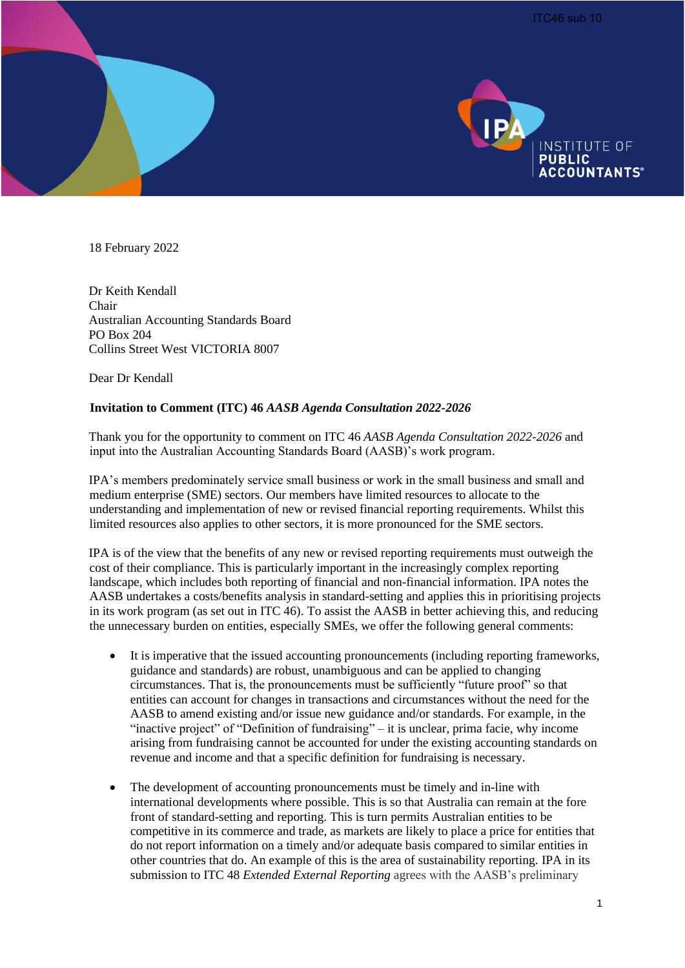



18 February 2022

Dr Keith Kendall Chair Australian Accounting Standards Board PO Box 204 Collins Street West VICTORIA 8007

Dear Dr Kendall

#### **Invitation to Comment (ITC) 46** *AASB Agenda Consultation 2022-2026*

Thank you for the opportunity to comment on ITC 46 *AASB Agenda Consultation 2022-2026* and input into the Australian Accounting Standards Board (AASB)'s work program.

IPA's members predominately service small business or work in the small business and small and medium enterprise (SME) sectors. Our members have limited resources to allocate to the understanding and implementation of new or revised financial reporting requirements. Whilst this limited resources also applies to other sectors, it is more pronounced for the SME sectors.

IPA is of the view that the benefits of any new or revised reporting requirements must outweigh the cost of their compliance. This is particularly important in the increasingly complex reporting landscape, which includes both reporting of financial and non-financial information. IPA notes the AASB undertakes a costs/benefits analysis in standard-setting and applies this in prioritising projects in its work program (as set out in ITC 46). To assist the AASB in better achieving this, and reducing the unnecessary burden on entities, especially SMEs, we offer the following general comments:

- It is imperative that the issued accounting pronouncements (including reporting frameworks, guidance and standards) are robust, unambiguous and can be applied to changing circumstances. That is, the pronouncements must be sufficiently "future proof" so that entities can account for changes in transactions and circumstances without the need for the AASB to amend existing and/or issue new guidance and/or standards. For example, in the "inactive project" of "Definition of fundraising" – it is unclear, prima facie, why income arising from fundraising cannot be accounted for under the existing accounting standards on revenue and income and that a specific definition for fundraising is necessary.
- The development of accounting pronouncements must be timely and in-line with international developments where possible. This is so that Australia can remain at the fore front of standard-setting and reporting. This is turn permits Australian entities to be competitive in its commerce and trade, as markets are likely to place a price for entities that do not report information on a timely and/or adequate basis compared to similar entities in other countries that do. An example of this is the area of sustainability reporting. IPA in its submission to ITC 48 *Extended External Reporting* agrees with the AASB's preliminary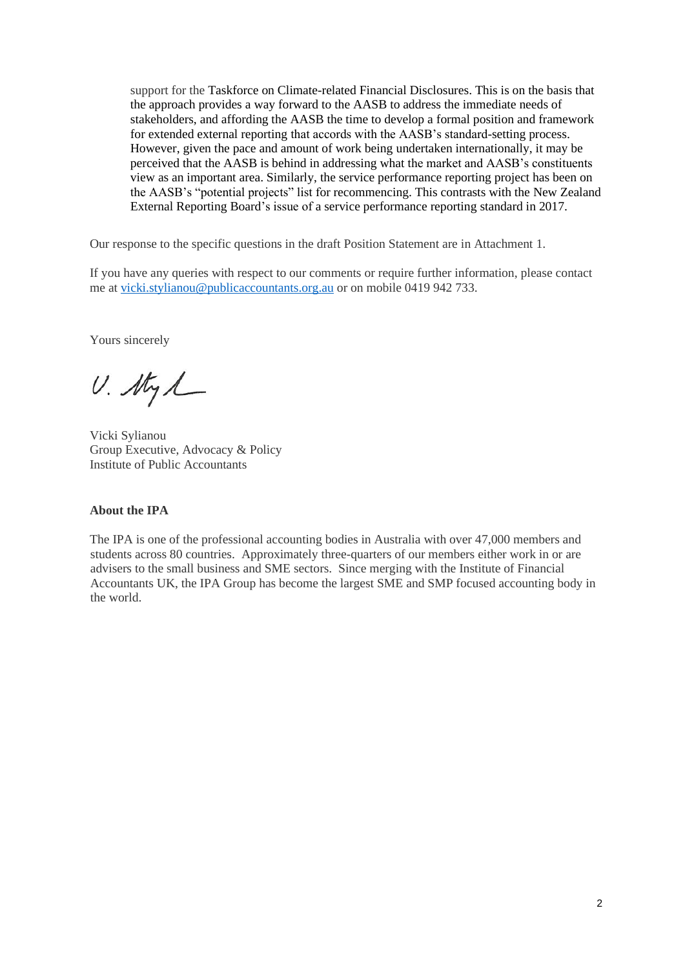support for the Taskforce on Climate-related Financial Disclosures. This is on the basis that the approach provides a way forward to the AASB to address the immediate needs of stakeholders, and affording the AASB the time to develop a formal position and framework for extended external reporting that accords with the AASB's standard-setting process. However, given the pace and amount of work being undertaken internationally, it may be perceived that the AASB is behind in addressing what the market and AASB's constituents view as an important area. Similarly, the service performance reporting project has been on the AASB's "potential projects" list for recommencing. This contrasts with the New Zealand External Reporting Board's issue of a service performance reporting standard in 2017.

Our response to the specific questions in the draft Position Statement are in Attachment 1.

If you have any queries with respect to our comments or require further information, please contact me at [vicki.stylianou@publicaccountants.org.au](mailto:vicki.stylianou@publicaccountants.org.au) or on mobile 0419 942 733.

Yours sincerely

U. Styl

Vicki Sylianou Group Executive, Advocacy & Policy Institute of Public Accountants

#### **About the IPA**

The IPA is one of the professional accounting bodies in Australia with over 47,000 members and students across 80 countries. Approximately three-quarters of our members either work in or are advisers to the small business and SME sectors. Since merging with the Institute of Financial Accountants UK, the IPA Group has become the largest SME and SMP focused accounting body in the world.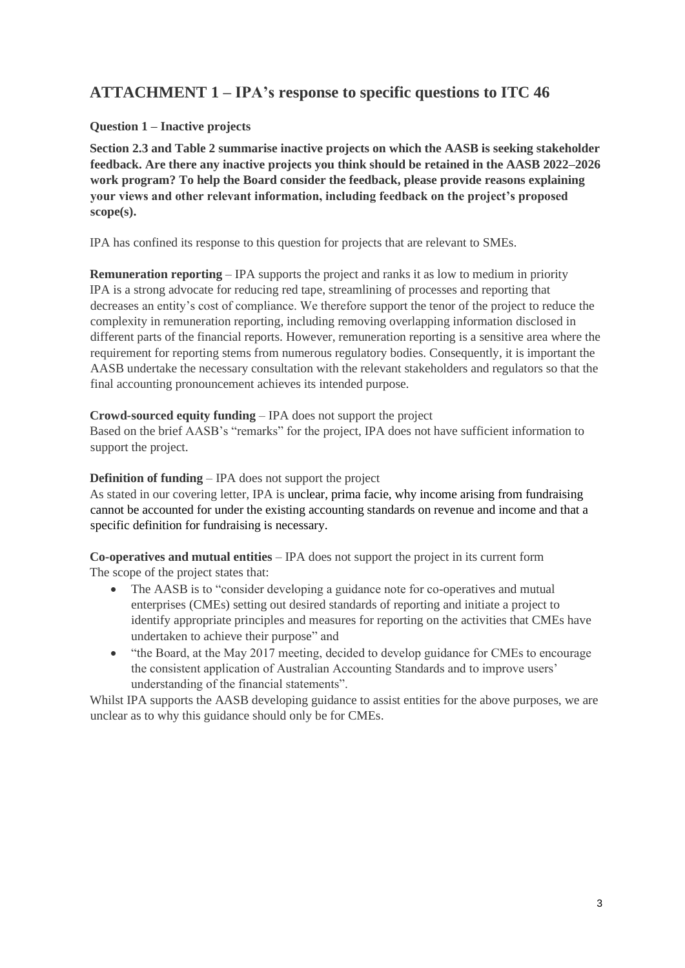# **ATTACHMENT 1 – IPA's response to specific questions to ITC 46**

# **Question 1 – Inactive projects**

**Section 2.3 and Table 2 summarise inactive projects on which the AASB is seeking stakeholder feedback. Are there any inactive projects you think should be retained in the AASB 2022–2026 work program? To help the Board consider the feedback, please provide reasons explaining your views and other relevant information, including feedback on the project's proposed scope(s).** 

IPA has confined its response to this question for projects that are relevant to SMEs.

**Remuneration reporting** – IPA supports the project and ranks it as low to medium in priority IPA is a strong advocate for reducing red tape, streamlining of processes and reporting that decreases an entity's cost of compliance. We therefore support the tenor of the project to reduce the complexity in remuneration reporting, including removing overlapping information disclosed in different parts of the financial reports. However, remuneration reporting is a sensitive area where the requirement for reporting stems from numerous regulatory bodies. Consequently, it is important the AASB undertake the necessary consultation with the relevant stakeholders and regulators so that the final accounting pronouncement achieves its intended purpose.

#### **Crowd-sourced equity funding** – IPA does not support the project

Based on the brief AASB's "remarks" for the project, IPA does not have sufficient information to support the project.

#### **Definition of funding** – IPA does not support the project

As stated in our covering letter, IPA is unclear, prima facie, why income arising from fundraising cannot be accounted for under the existing accounting standards on revenue and income and that a specific definition for fundraising is necessary.

**Co-operatives and mutual entities** – IPA does not support the project in its current form The scope of the project states that:

- The AASB is to "consider developing a guidance note for co-operatives and mutual enterprises (CMEs) setting out desired standards of reporting and initiate a project to identify appropriate principles and measures for reporting on the activities that CMEs have undertaken to achieve their purpose" and
- "the Board, at the May 2017 meeting, decided to develop guidance for CMEs to encourage the consistent application of Australian Accounting Standards and to improve users' understanding of the financial statements".

Whilst IPA supports the AASB developing guidance to assist entities for the above purposes, we are unclear as to why this guidance should only be for CMEs.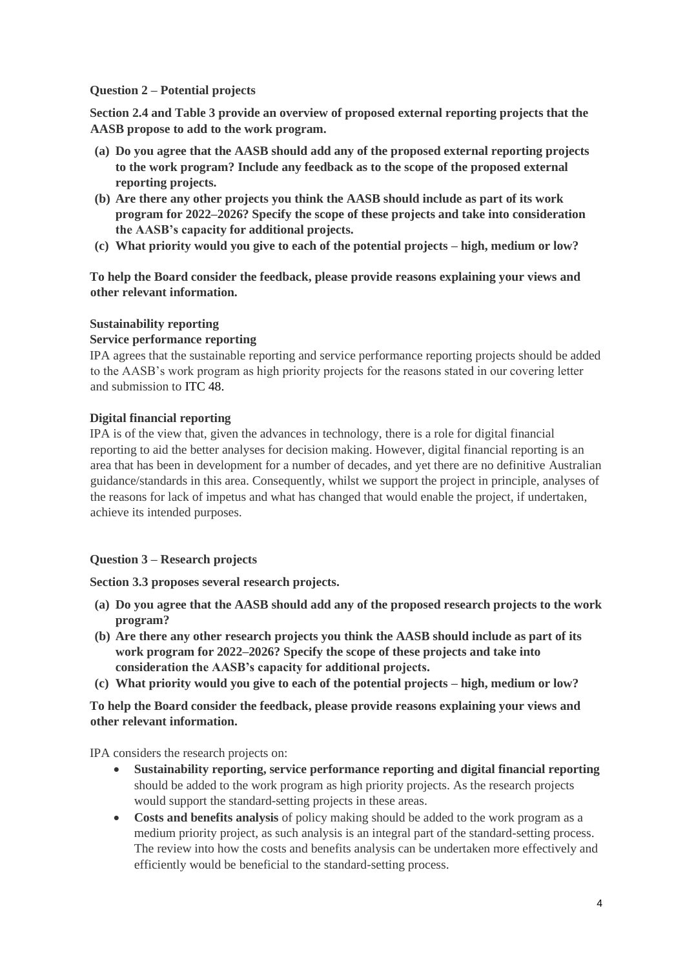#### **Question 2 – Potential projects**

**Section 2.4 and Table 3 provide an overview of proposed external reporting projects that the AASB propose to add to the work program.** 

- **(a) Do you agree that the AASB should add any of the proposed external reporting projects to the work program? Include any feedback as to the scope of the proposed external reporting projects.**
- **(b) Are there any other projects you think the AASB should include as part of its work program for 2022–2026? Specify the scope of these projects and take into consideration the AASB's capacity for additional projects.**
- **(c) What priority would you give to each of the potential projects – high, medium or low?**

**To help the Board consider the feedback, please provide reasons explaining your views and other relevant information.**

# **Sustainability reporting**

#### **Service performance reporting**

IPA agrees that the sustainable reporting and service performance reporting projects should be added to the AASB's work program as high priority projects for the reasons stated in our covering letter and submission to ITC 48.

# **Digital financial reporting**

IPA is of the view that, given the advances in technology, there is a role for digital financial reporting to aid the better analyses for decision making. However, digital financial reporting is an area that has been in development for a number of decades, and yet there are no definitive Australian guidance/standards in this area. Consequently, whilst we support the project in principle, analyses of the reasons for lack of impetus and what has changed that would enable the project, if undertaken, achieve its intended purposes.

# **Question 3 – Research projects**

**Section 3.3 proposes several research projects.** 

- **(a) Do you agree that the AASB should add any of the proposed research projects to the work program?**
- **(b) Are there any other research projects you think the AASB should include as part of its work program for 2022–2026? Specify the scope of these projects and take into consideration the AASB's capacity for additional projects.**
- **(c) What priority would you give to each of the potential projects – high, medium or low?**

# **To help the Board consider the feedback, please provide reasons explaining your views and other relevant information.**

IPA considers the research projects on:

- **Sustainability reporting, service performance reporting and digital financial reporting** should be added to the work program as high priority projects. As the research projects would support the standard-setting projects in these areas.
- **Costs and benefits analysis** of policy making should be added to the work program as a medium priority project, as such analysis is an integral part of the standard-setting process. The review into how the costs and benefits analysis can be undertaken more effectively and efficiently would be beneficial to the standard-setting process.